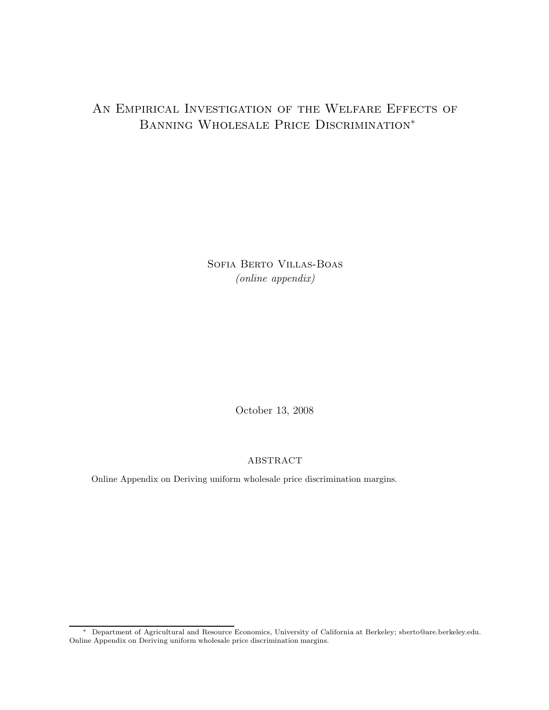## AN EMPIRICAL INVESTIGATION OF THE WELFARE EFFECTS OF BANNING WHOLESALE PRICE DISCRIMINATION<sup>\*</sup>

Sofia Berto Villas-Boas *(online appendix)*

October 13, 2008

## ABSTRACT

Online Appendix on Deriving uniform wholesale price discrimination margins.

<sup>∗</sup> Department of Agricultural and Resource Economics, University of California at Berkeley; sberto@are.berkeley.edu. Online Appendix on Deriving uniform wholesale price discrimination margins.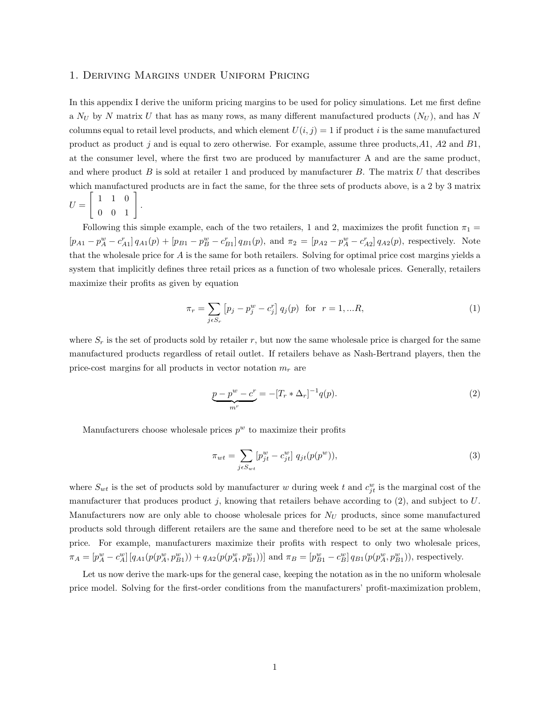## 1. Deriving Margins under Uniform Pricing

In this appendix I derive the uniform pricing margins to be used for policy simulations. Let me first define a  $N_U$  by N matrix U that has as many rows, as many different manufactured products  $(N_U)$ , and has N columns equal to retail level products, and which element  $U(i, j) = 1$  if product i is the same manufactured product as product j and is equal to zero otherwise. For example, assume three products, $A1$ ,  $A2$  and  $B1$ , at the consumer level, where the first two are produced by manufacturer A and are the same product, and where product  $B$  is sold at retailer 1 and produced by manufacturer  $B$ . The matrix  $U$  that describes which manufactured products are in fact the same, for the three sets of products above, is a 2 by 3 matrix  $U =$  $\left[\begin{array}{rrr} 1 & 1 & 0 \\ 0 & 0 & 1 \end{array}\right]$ .

Following this simple example, each of the two retailers, 1 and 2, maximizes the profit function  $\pi_1$  =  $[p_{A1} - p_A^w - c_{A1}^r] q_{A1}(p) + [p_{B1} - p_B^w - c_{B1}^r] q_{B1}(p)$ , and  $\pi_2 = [p_{A2} - p_A^w - c_{A2}^r] q_{A2}(p)$ , respectively. Note that the wholesale price for A is the same for both retailers. Solving for optimal price cost margins yields a system that implicitly defines three retail prices as a function of two wholesale prices. Generally, retailers maximize their profits as given by equation

$$
\pi_r = \sum_{j \in S_r} \left[ p_j - p_j^w - c_j^r \right] q_j(p) \text{ for } r = 1, \dots R,
$$
\n(1)

where  $S_r$  is the set of products sold by retailer r, but now the same wholesale price is charged for the same manufactured products regardless of retail outlet. If retailers behave as Nash-Bertrand players, then the price-cost margins for all products in vector notation  $m_r$  are

$$
\underbrace{p - p^w - c^r}_{mr} = -[T_r * \Delta_r]^{-1} q(p). \tag{2}
$$

Manufacturers choose wholesale prices  $p^w$  to maximize their profits

$$
\pi_{wt} = \sum_{j \in S_{wt}} [p_{jt}^w - c_{jt}^w] \ q_{jt}(p(p^w)), \tag{3}
$$

where  $S_{wt}$  is the set of products sold by manufacturer w during week t and  $c_{jt}^w$  is the marginal cost of the manufacturer that produces product j, knowing that retailers behave according to  $(2)$ , and subject to U. Manufacturers now are only able to choose wholesale prices for  $N_U$  products, since some manufactured products sold through different retailers are the same and therefore need to be set at the same wholesale price. For example, manufacturers maximize their profits with respect to only two wholesale prices,  $\pi_A = [p_A^w - c_A^w][q_{A1}(p(p_A^w, p_{B1}^w)) + q_{A2}(p(p_A^w, p_{B1}^w))]$  and  $\pi_B = [p_{B1}^w - c_B^w]q_{B1}(p(p_A^w, p_{B1}^w))$ , respectively.

Let us now derive the mark-ups for the general case, keeping the notation as in the no uniform wholesale price model. Solving for the first-order conditions from the manufacturers' profit-maximization problem,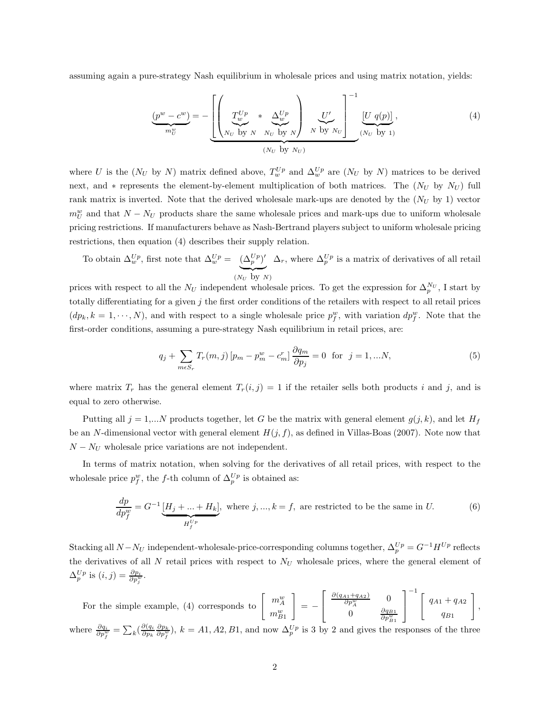assuming again a pure-strategy Nash equilibrium in wholesale prices and using matrix notation, yields:

$$
\underbrace{(p^w - c^w)}_{m_U^w} = -\left[ \underbrace{\left( \underbrace{T_w^{Up}}_{N_U \text{ by } N} * \underbrace{\Delta_w^{Up}}_{N_U \text{ by } N} \right)}_{(N_U \text{ by } N_U)} \underbrace{U'}_{N \text{ by } N_U} \right]^{-1} \underbrace{[U \ q(p)]}_{(N_U \text{ by } 1)},
$$
\n(4)

where U is the  $(N_U$  by N) matrix defined above,  $T_w^{Up}$  and  $\Delta_w^{Up}$  are  $(N_U$  by N) matrices to be derived next, and \* represents the element-by-element multiplication of both matrices. The  $(N_U$  by  $N_U)$  full rank matrix is inverted. Note that the derived wholesale mark-ups are denoted by the  $(N_U$  by 1) vector  $m_U^w$  and that  $N - N_U$  products share the same wholesale prices and mark-ups due to uniform wholesale pricing restrictions. If manufacturers behave as Nash-Bertrand players subject to uniform wholesale pricing restrictions, then equation (4) describes their supply relation.

To obtain  $\Delta_w^{Up}$ , first note that  $\Delta_w^{Up} = (\Delta_p^{Up})'$  $(N_U$  by  $N)$  $\Delta_r$ , where  $\Delta_p^{Up}$  is a matrix of derivatives of all retail

prices with respect to all the  $N_U$  independent wholesale prices. To get the expression for  $\Delta_p^{N_U}$ , I start by totally differentiating for a given  $j$  the first order conditions of the retailers with respect to all retail prices  $(dp_k, k = 1, \dots, N)$ , and with respect to a single wholesale price  $p_f^w$ , with variation  $dp_f^w$ . Note that the first-order conditions, assuming a pure-strategy Nash equilibrium in retail prices, are:

$$
q_j + \sum_{m \in S_r} T_r(m, j) \left[ p_m - p_m^w - c_m^r \right] \frac{\partial q_m}{\partial p_j} = 0 \text{ for } j = 1, ...N,
$$
 (5)

where matrix  $T_r$  has the general element  $T_r(i, j) = 1$  if the retailer sells both products i and j, and is equal to zero otherwise.

Putting all  $j = 1,...N$  products together, let G be the matrix with general element  $g(j, k)$ , and let  $H_f$ be an N-dimensional vector with general element  $H(j, f)$ , as defined in Villas-Boas (2007). Note now that  $N - N_U$  wholesale price variations are not independent.

In terms of matrix notation, when solving for the derivatives of all retail prices, with respect to the wholesale price  $p_f^w$ , the f-th column of  $\Delta_p^{Up}$  is obtained as:

$$
\frac{dp}{dp_f^w} = G^{-1} \underbrace{[H_j + \dots + H_k]}_{H_f^{Up}}, \text{ where } j, \dots, k = f, \text{ are restricted to be the same in } U. \tag{6}
$$

Stacking all  $N - N_U$  independent-wholesale-price-corresponding columns together,  $\Delta_p^{Up} = G^{-1} H^{Up}$  reflects the derivatives of all  $N$  retail prices with respect to  $N_U$  wholesale prices, where the general element of  $\Delta_p^{Up}$  is  $(i, j) = \frac{\partial p_i}{\partial p_j^w}$ .

For the simple example, (4) corresponds to  $\left[\begin{array}{c} m_{\mu}^{w} \\ m_{\mu}^{w} \end{array}\right]$  $m_{B1}^w$ 1 = −  $\lceil$  $\overline{a}$  $\frac{\partial (q_{A1}+q_{A2})}{\partial p_A^w}$  0 0  $\frac{\partial q_{B1}}{\partial p_{B1}^w}$ ⎤  $\overline{a}$  $^{-1}$   $\int q_{A1} + q_{A2}$  $q_{B1}$ 1 , where  $\frac{\partial q_i}{\partial p^w_i} = \sum_k \left( \frac{\partial (q_i \partial p_k}{\partial p^w_i} \right)$ ,  $k = A1, A2, B1$ , and now  $\Delta_p^{Up}$  is 3 by 2 and gives the responses of the three